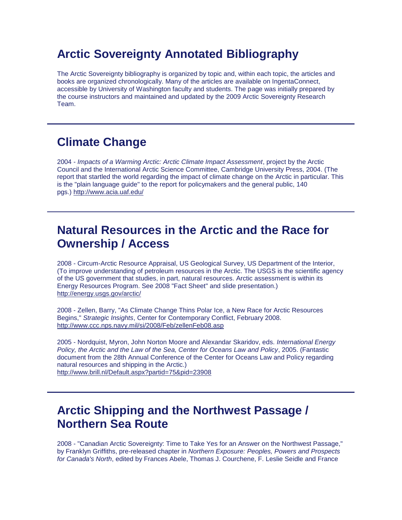# **Arctic Sovereignty Annotated Bibliography**

The Arctic Sovereignty bibliography is organized by topic and, within each topic, the articles and books are organized chronologically. Many of the articles are available on IngentaConnect, accessible by University of Washington faculty and students. The page was initially prepared by the course instructors and maintained and updated by the 2009 Arctic Sovereignty Research Team.

### **Climate Change**

2004 - *Impacts of a Warming Arctic: Arctic Climate Impact Assessment*, project by the Arctic Council and the International Arctic Science Committee, Cambridge University Press, 2004. (The report that startled the world regarding the impact of climate change on the Arctic in particular. This is the "plain language guide" to the report for policymakers and the general public, 140 pgs.) <http://www.acia.uaf.edu/>

### **Natural Resources in the Arctic and the Race for Ownership / Access**

2008 - Circum-Arctic Resource Appraisal, US Geological Survey, US Department of the Interior, (To improve understanding of petroleum resources in the Arctic. The USGS is the scientific agency of the US government that studies, in part, natural resources. Arctic assessment is within its Energy Resources Program. See 2008 "Fact Sheet" and slide presentation.) <http://energy.usgs.gov/arctic/>

2008 - Zellen, Barry, "As Climate Change Thins Polar Ice, a New Race for Arctic Resources Begins," *Strategic Insights*, Center for Contemporary Conflict, February 2008. <http://www.ccc.nps.navy.mil/si/2008/Feb/zellenFeb08.asp>

2005 - Nordquist, Myron, John Norton Moore and Alexandar Skaridov, eds. *International Energy Policy, the Arctic and the Law of the Sea, Center for Oceans Law and Policy*, 2005. (Fantastic document from the 28th Annual Conference of the Center for Oceans Law and Policy regarding natural resources and shipping in the Arctic.) <http://www.brill.nl/Default.aspx?partid=75&pid=23908>

## **Arctic Shipping and the Northwest Passage / Northern Sea Route**

2008 - "Canadian Arctic Sovereignty: Time to Take Yes for an Answer on the Northwest Passage," by Franklyn Griffiths, pre-released chapter in *Northern Exposure: Peoples, Powers and Prospects for Canada's North*, edited by Frances Abele, Thomas J. Courchene, F. Leslie Seidle and France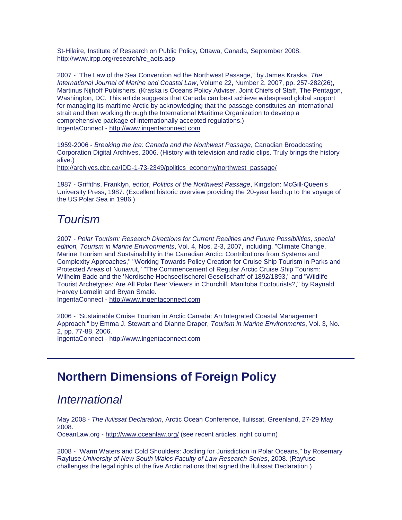St-Hilaire, Institute of Research on Public Policy, Ottawa, Canada, September 2008. [http://www.irpp.org/research/re\\_aots.asp](http://www.irpp.org/research/re_aots.asp)

2007 - "The Law of the Sea Convention ad the Northwest Passage," by James Kraska, *The International Journal of Marine and Coastal Law*, Volume 22, Number 2, 2007, pp. 257-282(26), Martinus Nijhoff Publishers. (Kraska is Oceans Policy Adviser, Joint Chiefs of Staff, The Pentagon, Washington, DC. This article suggests that Canada can best achieve widespread global support for managing its maritime Arctic by acknowledging that the passage constitutes an international strait and then working through the International Maritime Organization to develop a comprehensive package of internationally accepted regulations.) IngentaConnect - [http://www.ingentaconnect.com](http://www.ingentaconnect.com/)

1959-2006 - *Breaking the Ice: Canada and the Northwest Passage*, Canadian Broadcasting Corporation Digital Archives, 2006. (History with television and radio clips. Truly brings the history alive.)

[http://archives.cbc.ca/IDD-1-73-2349/politics\\_economy/northwest\\_passage/](http://archives.cbc.ca/IDD-1-73-2349/politics_economy/northwest_passage/)

1987 - Griffiths, Franklyn, editor, *Politics of the Northwest Passage*, Kingston: McGill-Queen's University Press, 1987. (Excellent historic overview providing the 20-year lead up to the voyage of the US Polar Sea in 1986.)

## *Tourism*

2007 - *Polar Tourism: Research Directions for Current Realities and Future Possibilities, special edition, Tourism in Marine Environments*, Vol. 4, Nos. 2-3, 2007, including, "Climate Change, Marine Tourism and Sustainability in the Canadian Arctic: Contributions from Systems and Complexity Approaches," "Working Towards Policy Creation for Cruise Ship Tourism in Parks and Protected Areas of Nunavut," "The Commencement of Regular Arctic Cruise Ship Tourism: Wilhelm Bade and the 'Nordische Hochseefischerei Gesellschaft' of 1892/1893," and "Wildlife Tourist Archetypes: Are All Polar Bear Viewers in Churchill, Manitoba Ecotourists?," by Raynald Harvey Lemelin and Bryan Smale.

IngentaConnect - [http://www.ingentaconnect.com](http://www.ingentaconnect.com/)

2006 - "Sustainable Cruise Tourism in Arctic Canada: An Integrated Coastal Management Approach," by Emma J. Stewart and Dianne Draper, *Tourism in Marine Environments*, Vol. 3, No. 2, pp. 77-88, 2006.

IngentaConnect - [http://www.ingentaconnect.com](http://www.ingentaconnect.com/)

## **Northern Dimensions of Foreign Policy**

#### *International*

May 2008 - *The Ilulissat Declaration*, Arctic Ocean Conference, Ilulissat, Greenland, 27-29 May 2008.

OceanLaw.org - <http://www.oceanlaw.org/> (see recent articles, right column)

2008 - "Warm Waters and Cold Shoulders: Jostling for Jurisdiction in Polar Oceans," by Rosemary Rayfuse,*University of New South Wales Faculty of Law Research Series*, 2008. (Rayfuse challenges the legal rights of the five Arctic nations that signed the Ilulissat Declaration.)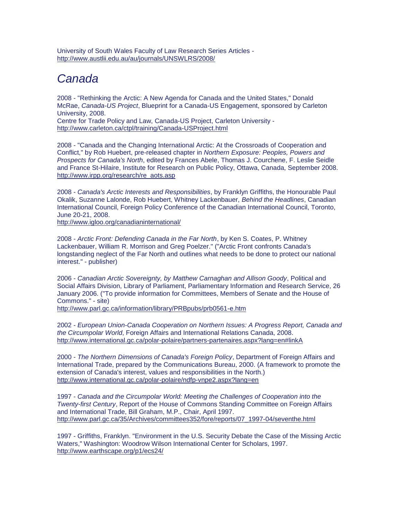University of South Wales Faculty of Law Research Series Articles <http://www.austlii.edu.au/au/journals/UNSWLRS/2008/>

# *Canada*

2008 - "Rethinking the Arctic: A New Agenda for Canada and the United States," Donald McRae, *Canada-US Project*, Blueprint for a Canada-US Engagement, sponsored by Carleton University, 2008. Centre for Trade Policy and Law, Canada-US Project, Carleton University -

<http://www.carleton.ca/ctpl/training/Canada-USProject.html>

2008 - "Canada and the Changing International Arctic: At the Crossroads of Cooperation and Conflict," by Rob Huebert, pre-released chapter in *Northern Exposure: Peoples, Powers and Prospects for Canada's North*, edited by Frances Abele, Thomas J. Courchene, F. Leslie Seidle and France St-Hilaire, Institute for Research on Public Policy, Ottawa, Canada, September 2008. [http://www.irpp.org/research/re\\_aots.asp](http://www.irpp.org/research/re_aots.asp)

2008 - *Canada's Arctic Interests and Responsibilities*, by Franklyn Griffiths, the Honourable Paul Okalik, Suzanne Lalonde, Rob Huebert, Whitney Lackenbauer, *Behind the Headlines*, Canadian International Council, Foreign Policy Conference of the Canadian International Council, Toronto, June 20-21, 2008.

<http://www.igloo.org/canadianinternational/>

2008 - *Arctic Front: Defending Canada in the Far North*, by Ken S. Coates, P. Whitney Lackenbauer, William R. Morrison and Greg Poelzer." ("Arctic Front confronts Canada's longstanding neglect of the Far North and outlines what needs to be done to protect our national interest." - publisher)

2006 - *Canadian Arctic Sovereignty, by Matthew Carnaghan and Allison Goody*, Political and Social Affairs Division, Library of Parliament, Parliamentary Information and Research Service, 26 January 2006. ("To provide information for Committees, Members of Senate and the House of Commons." - site)

<http://www.parl.gc.ca/information/library/PRBpubs/prb0561-e.htm>

2002 - *European Union-Canada Cooperation on Northern Issues: A Progress Report, Canada and the Circumpolar World*, Foreign Affairs and International Relations Canada, 2008. <http://www.international.gc.ca/polar-polaire/partners-partenaires.aspx?lang=en#linkA>

2000 - *The Northern Dimensions of Canada's Foreign Policy*, Department of Foreign Affairs and International Trade, prepared by the Communications Bureau, 2000. (A framework to promote the extension of Canada's interest, values and responsibilities in the North.) <http://www.international.gc.ca/polar-polaire/ndfp-vnpe2.aspx?lang=en>

1997 - *Canada and the Circumpolar World: Meeting the Challenges of Cooperation into the Twenty-first Century*, Report of the House of Commons Standing Committee on Foreign Affairs and International Trade, Bill Graham, M.P., Chair, April 1997. [http://www.parl.gc.ca/35/Archives/committees352/fore/reports/07\\_1997-04/seventhe.html](http://www.parl.gc.ca/35/Archives/committees352/fore/reports/07_1997-04/seventhe.html)

1997 - Griffiths, Franklyn. "Environment in the U.S. Security Debate the Case of the Missing Arctic Waters," Washington: Woodrow Wilson International Center for Scholars, 1997. <http://www.earthscape.org/p1/ecs24/>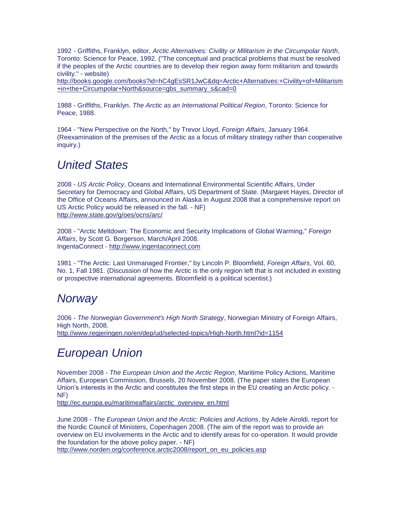1992 - Griffiths, Franklyn, editor, *Arctic Alternatives: Civility or Militarism in the Circumpolar North*, Toronto: Science for Peace, 1992. ("The conceptual and practical problems that must be resolved if the peoples of the Arctic countries are to develop their region away form militarism and towards civility." - website)

[http://books.google.com/books?id=hC4gEsSR1JwC&dq=Arctic+Alternatives:+Civility+of+Militarism](http://books.google.com/books?id=hC4gEsSR1JwC&dq=Arctic+Alternatives:+Civility+of+Militarism+in+the+Circumpolar+North&source=gbs_summary_s&cad=0) [+in+the+Circumpolar+North&source=gbs\\_summary\\_s&cad=0](http://books.google.com/books?id=hC4gEsSR1JwC&dq=Arctic+Alternatives:+Civility+of+Militarism+in+the+Circumpolar+North&source=gbs_summary_s&cad=0)

1988 - Griffiths, Franklyn. *The Arctic as an International Political Region*, Toronto: Science for Peace, 1988.

1964 - "New Perspective on the North," by Trevor Lloyd, *Foreign Affairs*, January 1964. (Reexamination of the premises of the Arctic as a focus of military strategy rather than cooperative inquiry.)

### *United States*

2008 - *US Arctic Policy*, Oceans and International Environmental Scientific Affairs, Under Secretary for Democracy and Global Affairs, US Department of State. (Margaret Hayes, Director of the Office of Oceans Affairs, announced in Alaska in August 2008 that a comprehensive report on US Arctic Policy would be released in the fall. - NF) <http://www.state.gov/g/oes/ocns/arc/>

2008 - "Arctic Meltdown: The Economic and Security Implications of Global Warming," *Foreign Affairs*, by Scott G. Borgerson, March/April 2008. IngentaConnect - [http://www.ingentaconnect.com](http://www.ingentaconnect.com/)

1981 - "The Arctic: Last Unmanaged Frontier," by Lincoln P. Bloomfield, *Foreign Affairs*, Vol. 60, No. 1, Fall 1981. (Discussion of how the Arctic is the only region left that is not included in existing or prospective international agreements. Bloomfield is a political scientist.)

### *Norway*

2006 - *The Norwegian Government's High North Strategy*, Norwegian Ministry of Foreign Affairs, High North, 2008. <http://www.regjeringen.no/en/dep/ud/selected-topics/High-North.html?id=1154>

## *European Union*

November 2008 - *The European Union and the Arctic Region*, Maritime Policy Actions, Maritime Affairs, European Commission, Brussels, 20 November 2008. (The paper states the European Union's interests in the Arctic and constitutes the first steps in the EU creating an Arctic policy. - NF)

[http://ec.europa.eu/maritimeaffairs/arctic\\_overview\\_en.html](http://ec.europa.eu/maritimeaffairs/arctic_overview_en.html)

June 2008 - *The European Union and the Arctic: Policies and Actions*, by Adele Airoldi, report for the Nordic Council of Ministers, Copenhagen 2008. (The aim of the report was to provide an overview on EU involvements in the Arctic and to identify areas for co-operation. It would provide the foundation for the above policy paper. - NF)

[http://www.norden.org/conference.arctic2008/report\\_on\\_eu\\_policies.asp](http://www.norden.org/conference.arctic2008/report_on_eu_policies.asp)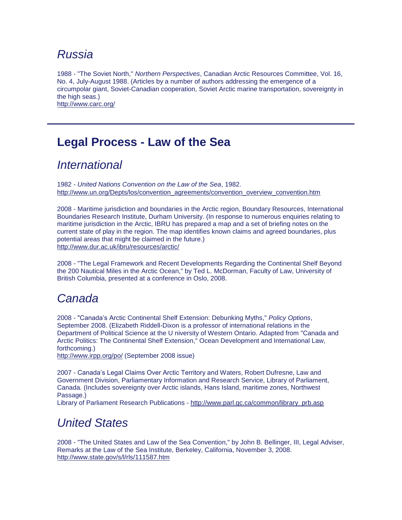### *Russia*

1988 - "The Soviet North," *Northern Perspectives*, Canadian Arctic Resources Committee, Vol. 16, No. 4, July-August 1988. (Articles by a number of authors addressing the emergence of a circumpolar giant, Soviet-Canadian cooperation, Soviet Arctic marine transportation, sovereignty in the high seas.) <http://www.carc.org/>

# **Legal Process - Law of the Sea**

### *International*

1982 - *United Nations Convention on the Law of the Sea*, 1982. [http://www.un.org/Depts/los/convention\\_agreements/convention\\_overview\\_convention.htm](http://www.un.org/Depts/los/convention_agreements/convention_overview_convention.htm)

2008 - Maritime jurisdiction and boundaries in the Arctic region, Boundary Resources, International Boundaries Research Institute, Durham University. (In response to numerous enquiries relating to maritime jurisdiction in the Arctic, IBRU has prepared a map and a set of briefing notes on the current state of play in the region. The map identifies known claims and agreed boundaries, plus potential areas that might be claimed in the future.) <http://www.dur.ac.uk/ibru/resources/arctic/>

2008 - "The Legal Framework and Recent Developments Regarding the Continental Shelf Beyond the 200 Nautical Miles in the Arctic Ocean," by Ted L. McDorman, Faculty of Law, University of British Columbia, presented at a conference in Oslo, 2008.

### *Canada*

2008 - "Canada's Arctic Continental Shelf Extension: Debunking Myths," *Policy Options*, September 2008. (Elizabeth Riddell-Dixon is a professor of international relations in the Department of Political Science at the U niversity of Western Ontario. Adapted from "Canada and Arctic Politics: The Continental Shelf Extension," Ocean Development and International Law, forthcoming.)

<http://www.irpp.org/po/> (September 2008 issue)

2007 - Canada's Legal Claims Over Arctic Territory and Waters, Robert Dufresne, Law and Government Division, Parliamentary Information and Research Service, Library of Parliament, Canada. (Includes sovereignty over Arctic islands, Hans Island, maritime zones, Northwest Passage.)

Library of Parliament Research Publications - [http://www.parl.gc.ca/common/library\\_prb.asp](http://www.parl.gc.ca/common/library_prb.asp)

## *United States*

2008 - "The United States and Law of the Sea Convention," by John B. Bellinger, III, Legal Adviser, Remarks at the Law of the Sea Institute, Berkeley, California, November 3, 2008. <http://www.state.gov/s/l/rls/111587.htm>